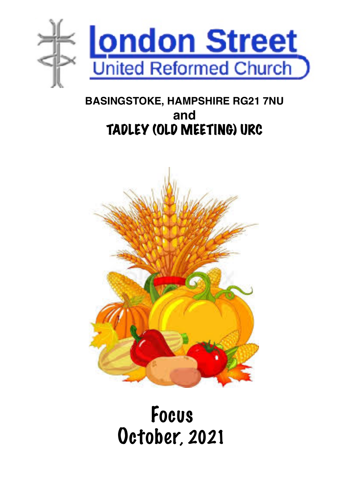

### **BASINGSTOKE, HAMPSHIRE RG21 7NU and**  TADLEY (OLD MEETING) URC



# Focus October, 2021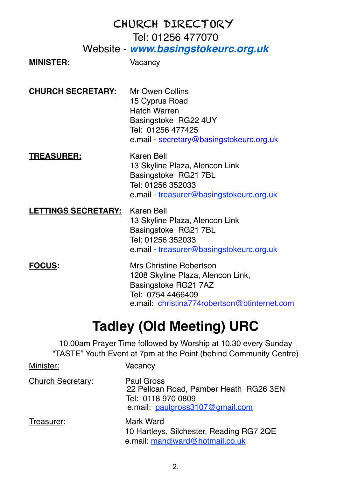#### CHURCH DIRECTORY Tel: 01256 477070 Website - *[www.basingstokeurc.org.uk](http://www.basingstokeurc.org.uk/)*

#### **MINISTER:** Vacancy

**CHURCH SECRETARY:** Mr Owen Collins

15 Cyprus Road Hatch Warren Basingstoke RG22 4UY Tel: 01256 477425 e.mail - [secretary@basingstokeurc.org.uk](mailto:secretary@basingstokeurc.org.uk)

#### **TREASURER:** Karen Bell

13 Skyline Plaza, Alencon Link Basingstoke RG21 7BL Tel: 01256 352033 e.mail - treasurer@basingstokeurc.org.uk

#### **LETTINGS SECRETARY:** Karen Bell

13 Skyline Plaza, Alencon Link Basingstoke RG21 7BL Tel: 01256 352033 e.mail - treasurer@basingstokeurc.org.uk

**FOCUS:** Mrs Christine Robertson 1208 Skyline Plaza, Alencon Link, Basingstoke RG21 7AZ Tel: 0754 4466409 e.mail: [christina774robertson@btinternet.com](mailto:christina774robertson@btinternet.com)

### **Tadley (Old Meeting) URC**

10.00am Prayer Time followed by Worship at 10.30 every Sunday "TASTE" Youth Event at 7pm at the Point (behind Community Centre)

| Minister:         | Vacancv                                                                                                       |
|-------------------|---------------------------------------------------------------------------------------------------------------|
| Church Secretary: | Paul Gross<br>22 Pelican Road, Pamber Heath RG26 3EN<br>Tel: 0118 970 0809<br>e.mail: paulgross3107@gmail.com |
| Treasurer:        | Mark Ward<br>10 Hartleys, Silchester, Reading RG7 2QE<br>e.mail: mandjward@hotmail.co.uk                      |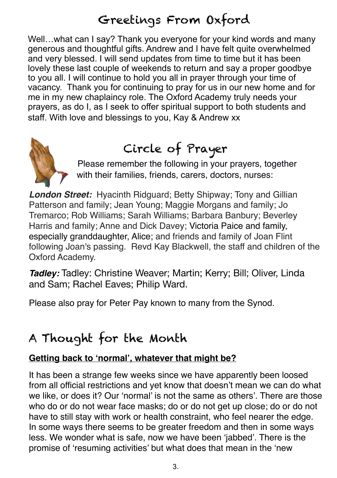### Greetings From Oxford

Well...what can I say? Thank you everyone for your kind words and many generous and thoughtful gifts. Andrew and I have felt quite overwhelmed and very blessed. I will send updates from time to time but it has been lovely these last couple of weekends to return and say a proper goodbye to you all. I will continue to hold you all in prayer through your time of vacancy. Thank you for continuing to pray for us in our new home and for me in my new chaplaincy role. The Oxford Academy truly needs your prayers, as do I, as I seek to offer spiritual support to both students and staff. With love and blessings to you, Kay & Andrew xx



# Circle of Prayer

Please remember the following in your prayers, together with their families, friends, carers, doctors, nurses:

*London Street:* Hyacinth Ridguard; Betty Shipway; Tony and Gillian Patterson and family; Jean Young; Maggie Morgans and family; Jo Tremarco; Rob Williams; Sarah Williams; Barbara Banbury; Beverley Harris and family; Anne and Dick Davey; Victoria Paice and family, especially granddaughter, Alice; and friends and family of Joan Flint following Joan's passing. Revd Kay Blackwell, the staff and children of the Oxford Academy.

*Tadley:* Tadley: Christine Weaver; Martin; Kerry; Bill; Oliver, Linda and Sam; Rachel Eaves; Philip Ward.

Please also pray for Peter Pay known to many from the Synod.

### A Thought for the Month

#### **Getting back to 'normal', whatever that might be?**

It has been a strange few weeks since we have apparently been loosed from all official restrictions and yet know that doesn't mean we can do what we like, or does it? Our 'normal' is not the same as others'. There are those who do or do not wear face masks; do or do not get up close; do or do not have to still stay with work or health constraint, who feel nearer the edge. In some ways there seems to be greater freedom and then in some ways less. We wonder what is safe, now we have been 'jabbed'. There is the promise of 'resuming activities' but what does that mean in the 'new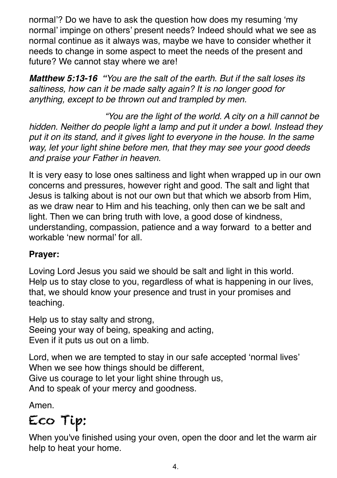normal'? Do we have to ask the question how does my resuming 'my normal' impinge on others' present needs? Indeed should what we see as normal continue as it always was, maybe we have to consider whether it needs to change in some aspect to meet the needs of the present and future? We cannot stay where we are!

*Matthew 5:13-16 "You are the salt of the earth. But if the salt loses its saltiness, how can it be made salty again? It is no longer good for anything, except to be thrown out and trampled by men.*

 *"You are the light of the world. A city on a hill cannot be hidden. Neither do people light a lamp and put it under a bowl. Instead they put it on its stand, and it gives light to everyone in the house. In the same way, let your light shine before men, that they may see your good deeds and praise your Father in heaven.* 

It is very easy to lose ones saltiness and light when wrapped up in our own concerns and pressures, however right and good. The salt and light that Jesus is talking about is not our own but that which we absorb from Him, as we draw near to Him and his teaching, only then can we be salt and light. Then we can bring truth with love, a good dose of kindness, understanding, compassion, patience and a way forward to a better and workable 'new normal' for all.

#### **Prayer:**

Loving Lord Jesus you said we should be salt and light in this world. Help us to stay close to you, regardless of what is happening in our lives, that, we should know your presence and trust in your promises and teaching.

Help us to stay salty and strong, Seeing your way of being, speaking and acting, Even if it puts us out on a limb.

Lord, when we are tempted to stay in our safe accepted 'normal lives' When we see how things should be different, Give us courage to let your light shine through us, And to speak of your mercy and goodness.

Amen.

# Eco Tip:

When you've finished using your oven, open the door and let the warm air help to heat your home.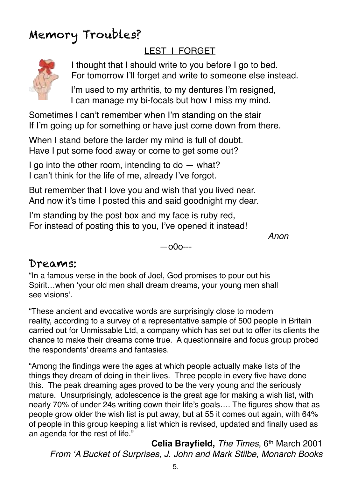### Memory Troubles?

#### LEST I FORGET



 I thought that I should write to you before I go to bed. For tomorrow I'll forget and write to someone else instead.

 I'm used to my arthritis, to my dentures I'm resigned, I can manage my bi-focals but how I miss my mind.

Sometimes I can't remember when I'm standing on the stair If I'm going up for something or have just come down from there.

When I stand before the larder my mind is full of doubt. Have I put some food away or come to get some out?

I go into the other room, intending to do – what? I can't think for the life of me, already I've forgot.

But remember that I love you and wish that you lived near. And now it's time I posted this and said goodnight my dear.

I'm standing by the post box and my face is ruby red, For instead of posting this to you, I've opened it instead!

*Anon*

—o0o---

#### Dreams:

"In a famous verse in the book of Joel, God promises to pour out his Spirit…when 'your old men shall dream dreams, your young men shall see visions'.

"These ancient and evocative words are surprisingly close to modern reality, according to a survey of a representative sample of 500 people in Britain carried out for Unmissable Ltd, a company which has set out to offer its clients the chance to make their dreams come true. A questionnaire and focus group probed the respondents' dreams and fantasies.

"Among the findings were the ages at which people actually make lists of the things they dream of doing in their lives. Three people in every five have done this. The peak dreaming ages proved to be the very young and the seriously mature. Unsurprisingly, adolescence is the great age for making a wish list, with nearly 70% of under 24s writing down their life's goals…. The figures show that as people grow older the wish list is put away, but at 55 it comes out again, with 64% of people in this group keeping a list which is revised, updated and finally used as an agenda for the rest of life."

**Celia Brayfield,** *The Times*, 6th March 2001 *From 'A Bucket of Surprises, J. John and Mark Stilbe, Monarch Books*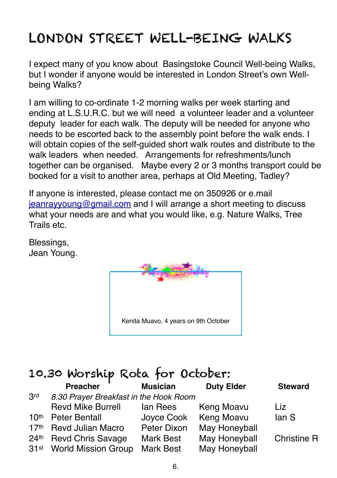### LONDON STREET WELL-BEING WALKS

I expect many of you know about Basingstoke Council Well-being Walks, but I wonder if anyone would be interested in London Street's own Wellbeing Walks?

I am willing to co-ordinate 1-2 morning walks per week starting and ending at L.S.U.R.C. but we will need a volunteer leader and a volunteer deputy leader for each walk. The deputy will be needed for anyone who needs to be escorted back to the assembly point before the walk ends. I will obtain copies of the self-guided short walk routes and distribute to the walk leaders when needed. Arrangements for refreshments/lunch together can be organised. Maybe every 2 or 3 months transport could be booked for a visit to another area, perhaps at Old Meeting, Tadley?

If anyone is interested, please contact me on 350926 or e.mail [jeanrayyoung@gmail.com](mailto:jeanrayyoung@gmail.com) and I will arrange a short meeting to discuss what your needs are and what you would like, e.g. Nature Walks, Tree Trails etc.

Blessings, Jean Young.



### 10.30 Worship Rota for October:

| Preacher                             | <b>Musician</b> | <b>Duty Elder</b> | <b>Steward</b>                         |
|--------------------------------------|-----------------|-------------------|----------------------------------------|
|                                      |                 |                   |                                        |
| <b>Revd Mike Burrell</b>             | lan Rees        | Keng Moavu        | Liz.                                   |
| <b>Peter Bentall</b>                 | Joyce Cook      | Keng Moavu        | lan S                                  |
| <b>Revd Julian Macro</b>             | Peter Dixon     | May Honeyball     |                                        |
| <b>Revd Chris Savage</b>             | Mark Best       | May Honeyball     | <b>Christine R</b>                     |
| 31 <sup>st</sup> World Mission Group | Mark Best       | May Honeyball     |                                        |
|                                      |                 |                   | 8.30 Prayer Breakfast in the Hook Room |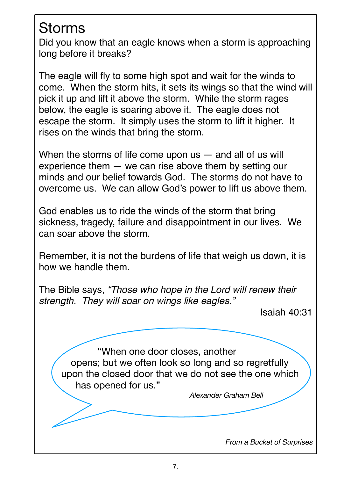### Storms

Did you know that an eagle knows when a storm is approaching long before it breaks?

The eagle will fly to some high spot and wait for the winds to come. When the storm hits, it sets its wings so that the wind will pick it up and lift it above the storm. While the storm rages below, the eagle is soaring above it. The eagle does not escape the storm. It simply uses the storm to lift it higher. It rises on the winds that bring the storm.

When the storms of life come upon  $us -$  and all of us will experience them — we can rise above them by setting our minds and our belief towards God. The storms do not have to overcome us. We can allow God's power to lift us above them.

God enables us to ride the winds of the storm that bring sickness, tragedy, failure and disappointment in our lives. We can soar above the storm.

Remember, it is not the burdens of life that weigh us down, it is how we handle them.

The Bible says, *"Those who hope in the Lord will renew their strength. They will soar on wings like eagles."* 

Isaiah 40:31

"When one door closes, another opens; but we often look so long and so regretfully upon the closed door that we do not see the one which has opened for us."

*Alexander Graham Bell*

*From a Bucket of Surprises*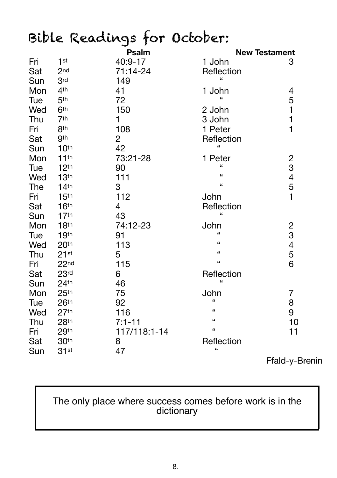# Bible Readings for October:

|     |                  | Psalm        |                            | <b>New Testament</b> |
|-----|------------------|--------------|----------------------------|----------------------|
| Fri | 1 <sup>st</sup>  | 40:9-17      | 1 John                     | 3                    |
| Sat | 2 <sub>nd</sub>  | 71:14-24     | Reflection                 |                      |
| Sun | 3rd              | 149          | $\epsilon$                 |                      |
| Mon | 4 <sup>th</sup>  | 41           | 1 John                     |                      |
| Tue | 5 <sup>th</sup>  | 72           | $\epsilon$                 | 4511                 |
| Wed | 6 <sup>th</sup>  | 150          | 2 John                     |                      |
| Thu | 7 <sup>th</sup>  | 1            | 3 John                     |                      |
| Fri | 8 <sup>th</sup>  | 108          | 1 Peter                    |                      |
| Sat | <b>9th</b>       | 2            | Reflection                 |                      |
| Sun | 10 <sup>th</sup> | 42           | "                          |                      |
| Mon | 11 <sup>th</sup> | 73:21-28     | 1 Peter                    |                      |
| Tue | 12 <sup>th</sup> | 90           | $\epsilon$                 |                      |
| Wed | 13 <sup>th</sup> | 111          | $\epsilon$                 |                      |
| The | 14 <sup>th</sup> | 3            | $\epsilon$                 | 23451                |
| Fri | 15 <sup>th</sup> | 112          | John                       |                      |
| Sat | 16 <sup>th</sup> | 4            | Reflection                 |                      |
| Sun | 17 <sup>th</sup> | 43           | $\epsilon$                 |                      |
| Mon | 18 <sup>th</sup> | 74:12-23     | John                       |                      |
| Tue | 19th             | 91           | $\epsilon$                 |                      |
| Wed | 20th             | 113          | $\epsilon$                 | 2<br>3<br>4<br>5     |
| Thu | 21st             | 5            | $\epsilon$                 |                      |
| Fri | 22 <sub>nd</sub> | 115          | $\mathfrak{c}\mathfrak{c}$ | 6                    |
| Sat | 23 <sub>rd</sub> | 6            | Reflection                 |                      |
| Sun | 24 <sup>th</sup> | 46           | $\epsilon$                 |                      |
| Mon | 25 <sup>th</sup> | 75           | John                       | 7                    |
| Tue | 26th             | 92           | $\epsilon$                 | 8                    |
| Wed | 27 <sup>th</sup> | 116          | $\epsilon$                 | 9                    |
| Thu | 28 <sup>th</sup> | $7:1 - 11$   | $\epsilon$                 | 10                   |
| Fri | 29th             | 117/118:1-14 | $\epsilon$                 | 11                   |
| Sat | 30th             | 8            | Reflection                 |                      |
| Sun | 31st             | 47           | $\mathbf{G}$               |                      |

Ffald-y-Brenin

#### The only place where success comes before work is in the dictionary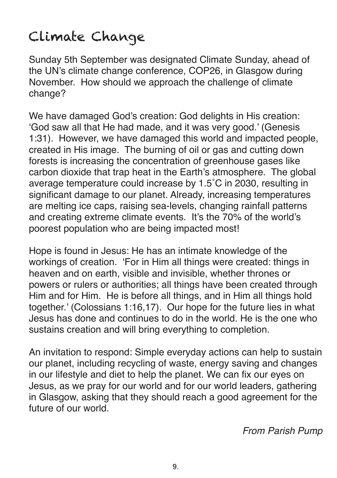### Climate Change

Sunday 5th September was designated Climate Sunday, ahead of the UN's climate change conference, COP26, in Glasgow during November. How should we approach the challenge of climate change?

We have damaged God's creation: God delights in His creation: 'God saw all that He had made, and it was very good.' (Genesis 1:31). However, we have damaged this world and impacted people, created in His image. The burning of oil or gas and cutting down forests is increasing the concentration of greenhouse gases like carbon dioxide that trap heat in the Earth's atmosphere. The global average temperature could increase by 1.5˚C in 2030, resulting in significant damage to our planet. Already, increasing temperatures are melting ice caps, raising sea-levels, changing rainfall patterns and creating extreme climate events. It's the 70% of the world's poorest population who are being impacted most!

Hope is found in Jesus: He has an intimate knowledge of the workings of creation. 'For in Him all things were created: things in heaven and on earth, visible and invisible, whether thrones or powers or rulers or authorities; all things have been created through Him and for Him. He is before all things, and in Him all things hold together.' (Colossians 1:16,17). Our hope for the future lies in what Jesus has done and continues to do in the world. He is the one who sustains creation and will bring everything to completion.

An invitation to respond: Simple everyday actions can help to sustain our planet, including recycling of waste, energy saving and changes in our lifestyle and diet to help the planet. We can fix our eyes on Jesus, as we pray for our world and for our world leaders, gathering in Glasgow, asking that they should reach a good agreement for the future of our world.

*From Parish Pump*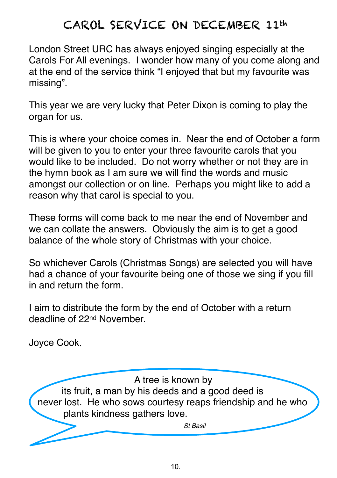### CAROL SERVICE ON DECEMBER 11th

London Street URC has always enjoyed singing especially at the Carols For All evenings. I wonder how many of you come along and at the end of the service think "I enjoyed that but my favourite was missing".

This year we are very lucky that Peter Dixon is coming to play the organ for us.

This is where your choice comes in. Near the end of October a form will be given to you to enter your three favourite carols that you would like to be included. Do not worry whether or not they are in the hymn book as I am sure we will find the words and music amongst our collection or on line. Perhaps you might like to add a reason why that carol is special to you.

These forms will come back to me near the end of November and we can collate the answers. Obviously the aim is to get a good balance of the whole story of Christmas with your choice.

So whichever Carols (Christmas Songs) are selected you will have had a chance of your favourite being one of those we sing if you fill in and return the form.

I aim to distribute the form by the end of October with a return deadline of 22nd November.

Joyce Cook.

A tree is known by its fruit, a man by his deeds and a good deed is never lost. He who sows courtesy reaps friendship and he who plants kindness gathers love. *St Basil*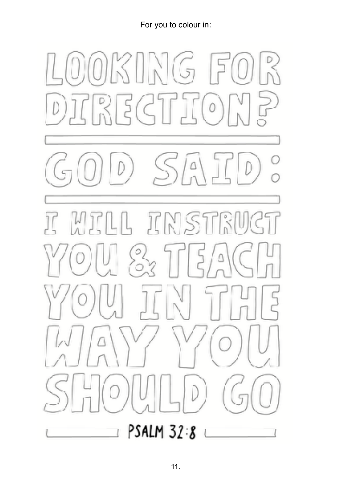For you to colour in: